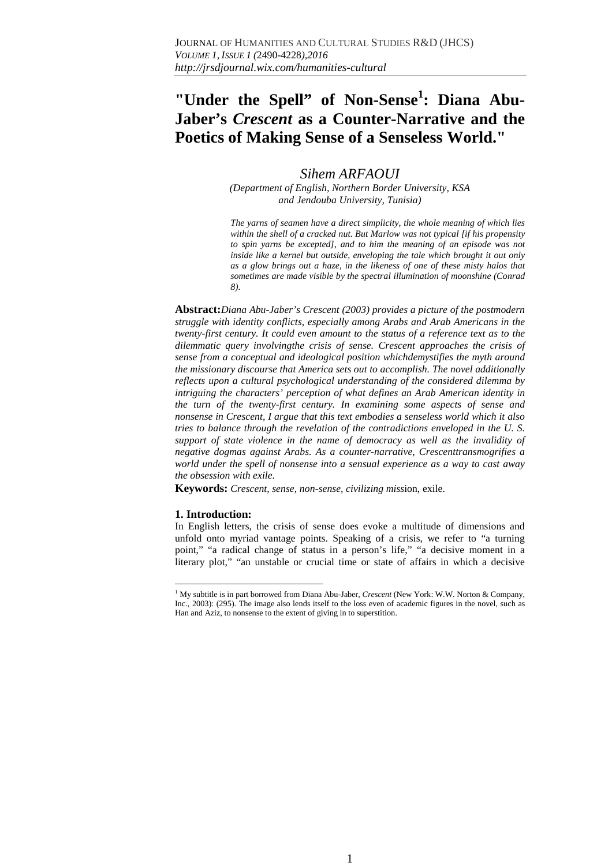# **"Under the Spell" of Non-Sense<sup>1</sup> : Diana Abu-Jaber's** *Crescent* **as a Counter-Narrative and the Poetics of Making Sense of a Senseless World."**

## *Sihem ARFAOUI*

*(Department of English, Northern Border University, KSA and Jendouba University, Tunisia)* 

*The yarns of seamen have a direct simplicity, the whole meaning of which lies within the shell of a cracked nut. But Marlow was not typical [if his propensity to spin yarns be excepted], and to him the meaning of an episode was not inside like a kernel but outside, enveloping the tale which brought it out only as a glow brings out a haze, in the likeness of one of these misty halos that sometimes are made visible by the spectral illumination of moonshine (Conrad 8).* 

**Abstract:***Diana Abu-Jaber's Crescent (2003) provides a picture of the postmodern struggle with identity conflicts, especially among Arabs and Arab Americans in the twenty-first century. It could even amount to the status of a reference text as to the dilemmatic query involvingthe crisis of sense. Crescent approaches the crisis of sense from a conceptual and ideological position whichdemystifies the myth around the missionary discourse that America sets out to accomplish. The novel additionally reflects upon a cultural psychological understanding of the considered dilemma by intriguing the characters' perception of what defines an Arab American identity in the turn of the twenty-first century. In examining some aspects of sense and nonsense in Crescent, I argue that this text embodies a senseless world which it also tries to balance through the revelation of the contradictions enveloped in the U. S. support of state violence in the name of democracy as well as the invalidity of negative dogmas against Arabs. As a counter-narrative, Crescenttransmogrifies a world under the spell of nonsense into a sensual experience as a way to cast away the obsession with exile.*

**Keywords:** *Crescent, sense, non-sense, civilizing miss*ion, exile.

#### **1. Introduction:**

In English letters, the crisis of sense does evoke a multitude of dimensions and unfold onto myriad vantage points. Speaking of a crisis, we refer to "a turning point," "a radical change of status in a person's life," "a decisive moment in a literary plot," "an unstable or crucial time or state of affairs in which a decisive

 $\overline{a}$ 1 My subtitle is in part borrowed from Diana Abu-Jaber, *Crescent* (New York: W.W. Norton & Company, Inc., 2003): (295). The image also lends itself to the loss even of academic figures in the novel, such as Han and Aziz, to nonsense to the extent of giving in to superstition.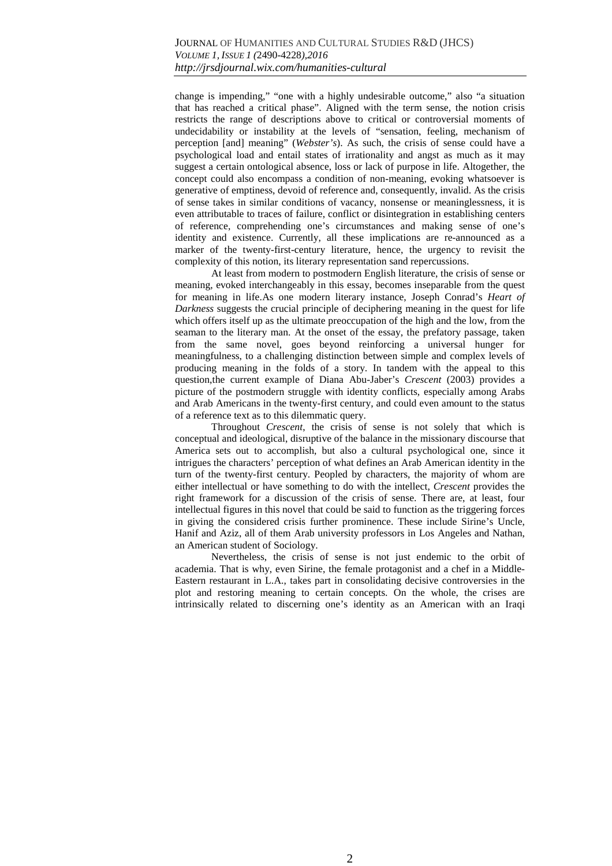change is impending," "one with a highly undesirable outcome," also "a situation that has reached a critical phase". Aligned with the term sense, the notion crisis restricts the range of descriptions above to critical or controversial moments of undecidability or instability at the levels of "sensation, feeling, mechanism of perception [and] meaning" (*Webster's*). As such, the crisis of sense could have a psychological load and entail states of irrationality and angst as much as it may suggest a certain ontological absence, loss or lack of purpose in life. Altogether, the concept could also encompass a condition of non-meaning, evoking whatsoever is generative of emptiness, devoid of reference and, consequently, invalid. As the crisis of sense takes in similar conditions of vacancy, nonsense or meaninglessness, it is even attributable to traces of failure, conflict or disintegration in establishing centers of reference, comprehending one's circumstances and making sense of one's identity and existence. Currently, all these implications are re-announced as a marker of the twenty-first-century literature, hence, the urgency to revisit the complexity of this notion, its literary representation sand repercussions.

At least from modern to postmodern English literature, the crisis of sense or meaning, evoked interchangeably in this essay, becomes inseparable from the quest for meaning in life.As one modern literary instance, Joseph Conrad's *Heart of Darkness* suggests the crucial principle of deciphering meaning in the quest for life which offers itself up as the ultimate preoccupation of the high and the low, from the seaman to the literary man. At the onset of the essay, the prefatory passage, taken from the same novel, goes beyond reinforcing a universal hunger for meaningfulness, to a challenging distinction between simple and complex levels of producing meaning in the folds of a story. In tandem with the appeal to this question,the current example of Diana Abu-Jaber's *Crescent* (2003) provides a picture of the postmodern struggle with identity conflicts, especially among Arabs and Arab Americans in the twenty-first century, and could even amount to the status of a reference text as to this dilemmatic query.

Throughout *Crescent*, the crisis of sense is not solely that which is conceptual and ideological, disruptive of the balance in the missionary discourse that America sets out to accomplish, but also a cultural psychological one, since it intrigues the characters' perception of what defines an Arab American identity in the turn of the twenty-first century. Peopled by characters, the majority of whom are either intellectual or have something to do with the intellect, *Crescent* provides the right framework for a discussion of the crisis of sense. There are, at least, four intellectual figures in this novel that could be said to function as the triggering forces in giving the considered crisis further prominence. These include Sirine's Uncle, Hanif and Aziz, all of them Arab university professors in Los Angeles and Nathan, an American student of Sociology.

Nevertheless, the crisis of sense is not just endemic to the orbit of academia. That is why, even Sirine, the female protagonist and a chef in a Middle-Eastern restaurant in L.A., takes part in consolidating decisive controversies in the plot and restoring meaning to certain concepts. On the whole, the crises are intrinsically related to discerning one's identity as an American with an Iraqi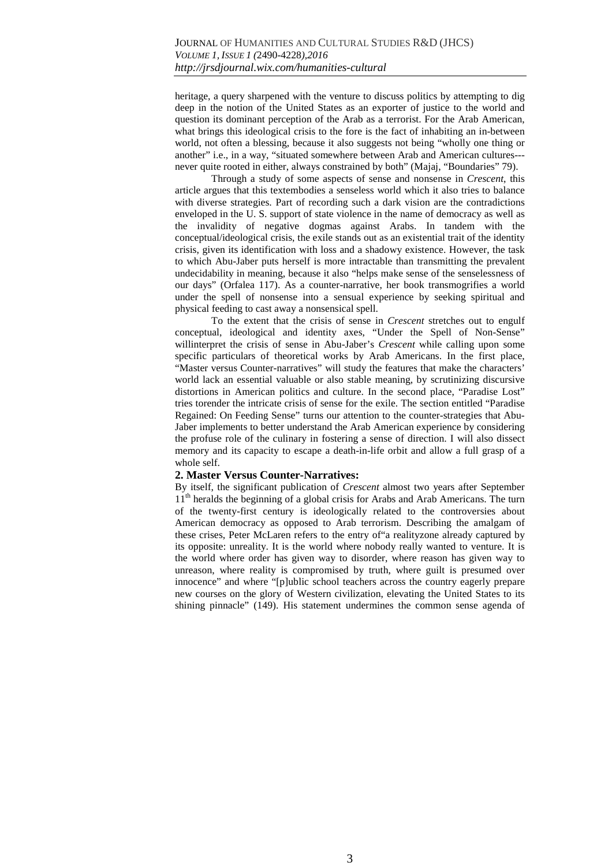heritage, a query sharpened with the venture to discuss politics by attempting to dig deep in the notion of the United States as an exporter of justice to the world and question its dominant perception of the Arab as a terrorist. For the Arab American, what brings this ideological crisis to the fore is the fact of inhabiting an in-between world, not often a blessing, because it also suggests not being "wholly one thing or another" i.e., in a way, "situated somewhere between Arab and American cultures-- never quite rooted in either, always constrained by both" (Majaj, "Boundaries" 79).

Through a study of some aspects of sense and nonsense in *Crescent*, this article argues that this textembodies a senseless world which it also tries to balance with diverse strategies. Part of recording such a dark vision are the contradictions enveloped in the U. S. support of state violence in the name of democracy as well as the invalidity of negative dogmas against Arabs. In tandem with the conceptual/ideological crisis, the exile stands out as an existential trait of the identity crisis, given its identification with loss and a shadowy existence. However, the task to which Abu-Jaber puts herself is more intractable than transmitting the prevalent undecidability in meaning, because it also "helps make sense of the senselessness of our days" (Orfalea 117). As a counter-narrative, her book transmogrifies a world under the spell of nonsense into a sensual experience by seeking spiritual and physical feeding to cast away a nonsensical spell.

To the extent that the crisis of sense in *Crescent* stretches out to engulf conceptual, ideological and identity axes, "Under the Spell of Non-Sense" willinterpret the crisis of sense in Abu-Jaber's *Crescent* while calling upon some specific particulars of theoretical works by Arab Americans. In the first place, "Master versus Counter-narratives" will study the features that make the characters' world lack an essential valuable or also stable meaning, by scrutinizing discursive distortions in American politics and culture. In the second place, "Paradise Lost" tries torender the intricate crisis of sense for the exile. The section entitled "Paradise Regained: On Feeding Sense" turns our attention to the counter-strategies that Abu-Jaber implements to better understand the Arab American experience by considering the profuse role of the culinary in fostering a sense of direction. I will also dissect memory and its capacity to escape a death-in-life orbit and allow a full grasp of a whole self.

#### **2. Master Versus Counter-Narratives:**

By itself, the significant publication of *Crescent* almost two years after September 11<sup>th</sup> heralds the beginning of a global crisis for Arabs and Arab Americans. The turn of the twenty-first century is ideologically related to the controversies about American democracy as opposed to Arab terrorism. Describing the amalgam of these crises, Peter McLaren refers to the entry of"a realityzone already captured by its opposite: unreality. It is the world where nobody really wanted to venture. It is the world where order has given way to disorder, where reason has given way to unreason, where reality is compromised by truth, where guilt is presumed over innocence" and where "[p]ublic school teachers across the country eagerly prepare new courses on the glory of Western civilization, elevating the United States to its shining pinnacle" (149). His statement undermines the common sense agenda of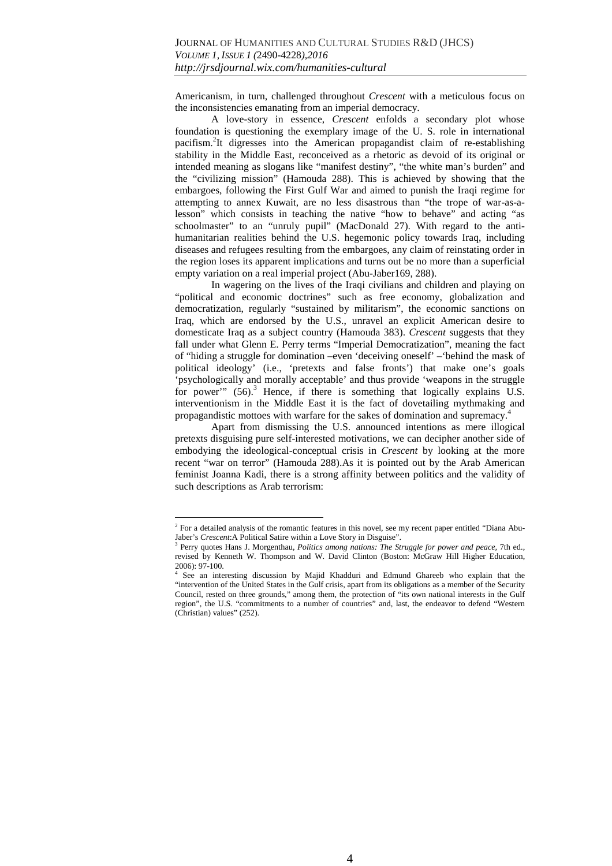Americanism, in turn, challenged throughout *Crescent* with a meticulous focus on the inconsistencies emanating from an imperial democracy.

A love-story in essence, *Crescent* enfolds a secondary plot whose foundation is questioning the exemplary image of the U. S. role in international pacifism.<sup>2</sup> It digresses into the American propagandist claim of re-establishing stability in the Middle East, reconceived as a rhetoric as devoid of its original or intended meaning as slogans like "manifest destiny", "the white man's burden" and the "civilizing mission" (Hamouda 288). This is achieved by showing that the embargoes, following the First Gulf War and aimed to punish the Iraqi regime for attempting to annex Kuwait, are no less disastrous than "the trope of war-as-alesson" which consists in teaching the native "how to behave" and acting "as schoolmaster" to an "unruly pupil" (MacDonald 27). With regard to the antihumanitarian realities behind the U.S. hegemonic policy towards Iraq, including diseases and refugees resulting from the embargoes, any claim of reinstating order in the region loses its apparent implications and turns out be no more than a superficial empty variation on a real imperial project (Abu-Jaber169, 288).

In wagering on the lives of the Iraqi civilians and children and playing on "political and economic doctrines" such as free economy, globalization and democratization, regularly "sustained by militarism", the economic sanctions on Iraq, which are endorsed by the U.S., unravel an explicit American desire to domesticate Iraq as a subject country (Hamouda 383). *Crescent* suggests that they fall under what Glenn E. Perry terms "Imperial Democratization", meaning the fact of "hiding a struggle for domination –even 'deceiving oneself' –'behind the mask of political ideology' (i.e., 'pretexts and false fronts') that make one's goals 'psychologically and morally acceptable' and thus provide 'weapons in the struggle for power" (56).<sup>3</sup> Hence, if there is something that logically explains U.S. interventionism in the Middle East it is the fact of dovetailing mythmaking and propagandistic mottoes with warfare for the sakes of domination and supremacy.<sup>4</sup>

Apart from dismissing the U.S. announced intentions as mere illogical pretexts disguising pure self-interested motivations, we can decipher another side of embodying the ideological-conceptual crisis in *Crescent* by looking at the more recent "war on terror" (Hamouda 288).As it is pointed out by the Arab American feminist Joanna Kadi, there is a strong affinity between politics and the validity of such descriptions as Arab terrorism:

 $\overline{a}$ 

<sup>&</sup>lt;sup>2</sup> For a detailed analysis of the romantic features in this novel, see my recent paper entitled "Diana Abu-Jaber's *Crescent*:A Political Satire within a Love Story in Disguise".

<sup>3</sup> Perry quotes Hans J. Morgenthau, *Politics among nations: The Struggle for power and peace,* 7th ed., revised by Kenneth W. Thompson and W. David Clinton (Boston: McGraw Hill Higher Education, 2006): 97-100.

<sup>4</sup> See an interesting discussion by Majid Khadduri and Edmund Ghareeb who explain that the "intervention of the United States in the Gulf crisis, apart from its obligations as a member of the Security Council, rested on three grounds," among them, the protection of "its own national interests in the Gulf region", the U.S. "commitments to a number of countries" and, last, the endeavor to defend "Western (Christian) values" (252).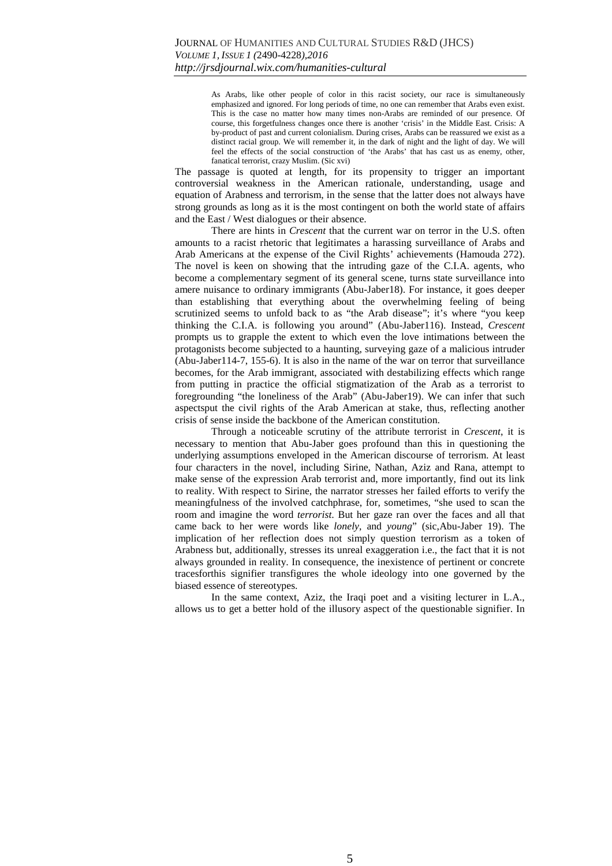As Arabs, like other people of color in this racist society, our race is simultaneously emphasized and ignored. For long periods of time, no one can remember that Arabs even exist. This is the case no matter how many times non-Arabs are reminded of our presence. Of course, this forgetfulness changes once there is another 'crisis' in the Middle East. Crisis: A by-product of past and current colonialism. During crises, Arabs can be reassured we exist as a distinct racial group. We will remember it, in the dark of night and the light of day. We will feel the effects of the social construction of 'the Arabs' that has cast us as enemy, other, fanatical terrorist, crazy Muslim. (Sic xvi)

The passage is quoted at length, for its propensity to trigger an important controversial weakness in the American rationale, understanding, usage and equation of Arabness and terrorism, in the sense that the latter does not always have strong grounds as long as it is the most contingent on both the world state of affairs and the East / West dialogues or their absence.

There are hints in *Crescent* that the current war on terror in the U.S. often amounts to a racist rhetoric that legitimates a harassing surveillance of Arabs and Arab Americans at the expense of the Civil Rights' achievements (Hamouda 272). The novel is keen on showing that the intruding gaze of the C.I.A. agents, who become a complementary segment of its general scene, turns state surveillance into amere nuisance to ordinary immigrants (Abu-Jaber18). For instance, it goes deeper than establishing that everything about the overwhelming feeling of being scrutinized seems to unfold back to as "the Arab disease"; it's where "you keep thinking the C.I.A. is following you around" (Abu-Jaber116). Instead, *Crescent* prompts us to grapple the extent to which even the love intimations between the protagonists become subjected to a haunting, surveying gaze of a malicious intruder (Abu-Jaber114-7, 155-6). It is also in the name of the war on terror that surveillance becomes, for the Arab immigrant, associated with destabilizing effects which range from putting in practice the official stigmatization of the Arab as a terrorist to foregrounding "the loneliness of the Arab" (Abu-Jaber19). We can infer that such aspectsput the civil rights of the Arab American at stake, thus, reflecting another crisis of sense inside the backbone of the American constitution.

Through a noticeable scrutiny of the attribute terrorist in *Crescent*, it is necessary to mention that Abu-Jaber goes profound than this in questioning the underlying assumptions enveloped in the American discourse of terrorism. At least four characters in the novel, including Sirine, Nathan, Aziz and Rana, attempt to make sense of the expression Arab terrorist and, more importantly, find out its link to reality. With respect to Sirine, the narrator stresses her failed efforts to verify the meaningfulness of the involved catchphrase, for, sometimes, "she used to scan the room and imagine the word *terrorist*. But her gaze ran over the faces and all that came back to her were words like *lonely*, and *young*" (sic,Abu-Jaber 19). The implication of her reflection does not simply question terrorism as a token of Arabness but, additionally, stresses its unreal exaggeration i.e., the fact that it is not always grounded in reality. In consequence, the inexistence of pertinent or concrete tracesforthis signifier transfigures the whole ideology into one governed by the biased essence of stereotypes.

In the same context, Aziz, the Iraqi poet and a visiting lecturer in L.A., allows us to get a better hold of the illusory aspect of the questionable signifier. In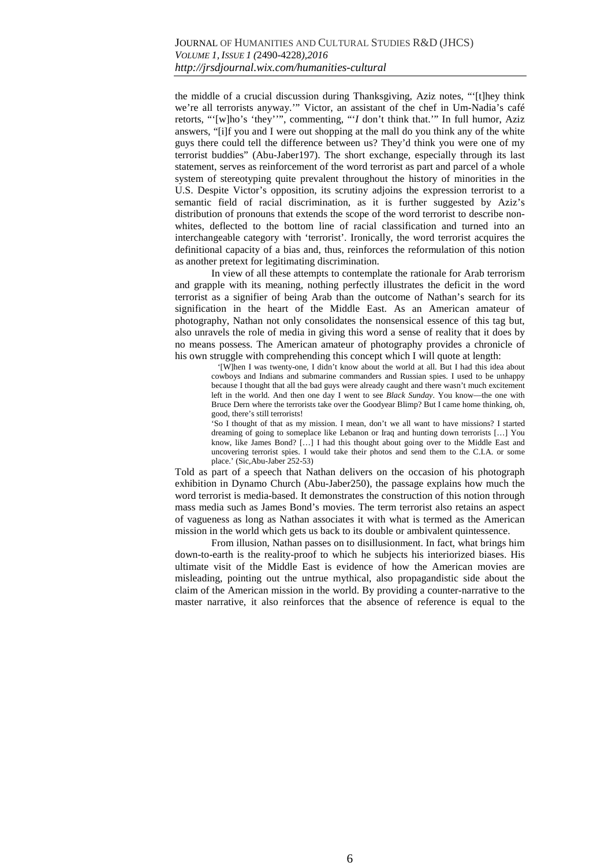the middle of a crucial discussion during Thanksgiving, Aziz notes, "'[t]hey think we're all terrorists anyway.'" Victor, an assistant of the chef in Um-Nadia's café retorts, "'[w]ho's 'they''", commenting, "'*I* don't think that.'" In full humor, Aziz answers, "[i]f you and I were out shopping at the mall do you think any of the white guys there could tell the difference between us? They'd think you were one of my terrorist buddies" (Abu-Jaber197). The short exchange, especially through its last statement, serves as reinforcement of the word terrorist as part and parcel of a whole system of stereotyping quite prevalent throughout the history of minorities in the U.S. Despite Victor's opposition, its scrutiny adjoins the expression terrorist to a semantic field of racial discrimination, as it is further suggested by Aziz's distribution of pronouns that extends the scope of the word terrorist to describe nonwhites, deflected to the bottom line of racial classification and turned into an interchangeable category with 'terrorist'. Ironically, the word terrorist acquires the definitional capacity of a bias and, thus, reinforces the reformulation of this notion as another pretext for legitimating discrimination.

In view of all these attempts to contemplate the rationale for Arab terrorism and grapple with its meaning, nothing perfectly illustrates the deficit in the word terrorist as a signifier of being Arab than the outcome of Nathan's search for its signification in the heart of the Middle East. As an American amateur of photography, Nathan not only consolidates the nonsensical essence of this tag but, also unravels the role of media in giving this word a sense of reality that it does by no means possess. The American amateur of photography provides a chronicle of his own struggle with comprehending this concept which I will quote at length:

 '[W]hen I was twenty-one, I didn't know about the world at all. But I had this idea about cowboys and Indians and submarine commanders and Russian spies. I used to be unhappy because I thought that all the bad guys were already caught and there wasn't much excitement left in the world. And then one day I went to see *Black Sunday*. You know—the one with Bruce Dern where the terrorists take over the Goodyear Blimp? But I came home thinking, oh, good, there's still terrorists!

'So I thought of that as my mission. I mean, don't we all want to have missions? I started dreaming of going to someplace like Lebanon or Iraq and hunting down terrorists […] You know, like James Bond? […] I had this thought about going over to the Middle East and uncovering terrorist spies. I would take their photos and send them to the C.I.A. or some place.' (Sic,Abu-Jaber 252-53)

Told as part of a speech that Nathan delivers on the occasion of his photograph exhibition in Dynamo Church (Abu-Jaber250), the passage explains how much the word terrorist is media-based. It demonstrates the construction of this notion through mass media such as James Bond's movies. The term terrorist also retains an aspect of vagueness as long as Nathan associates it with what is termed as the American mission in the world which gets us back to its double or ambivalent quintessence.

From illusion, Nathan passes on to disillusionment. In fact, what brings him down-to-earth is the reality-proof to which he subjects his interiorized biases. His ultimate visit of the Middle East is evidence of how the American movies are misleading, pointing out the untrue mythical, also propagandistic side about the claim of the American mission in the world. By providing a counter-narrative to the master narrative, it also reinforces that the absence of reference is equal to the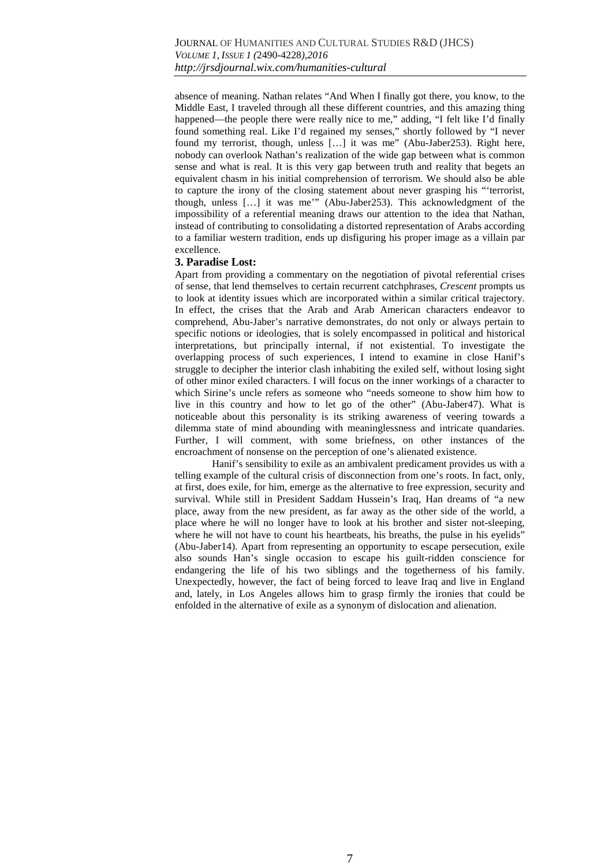absence of meaning. Nathan relates "And When I finally got there, you know, to the Middle East, I traveled through all these different countries, and this amazing thing happened—the people there were really nice to me," adding, "I felt like I'd finally found something real. Like I'd regained my senses," shortly followed by "I never found my terrorist, though, unless […] it was me" (Abu-Jaber253). Right here, nobody can overlook Nathan's realization of the wide gap between what is common sense and what is real. It is this very gap between truth and reality that begets an equivalent chasm in his initial comprehension of terrorism. We should also be able to capture the irony of the closing statement about never grasping his "'terrorist, though, unless […] it was me'" (Abu-Jaber253). This acknowledgment of the impossibility of a referential meaning draws our attention to the idea that Nathan, instead of contributing to consolidating a distorted representation of Arabs according to a familiar western tradition, ends up disfiguring his proper image as a villain par excellence.

### **3. Paradise Lost:**

Apart from providing a commentary on the negotiation of pivotal referential crises of sense, that lend themselves to certain recurrent catchphrases, *Crescent* prompts us to look at identity issues which are incorporated within a similar critical trajectory. In effect, the crises that the Arab and Arab American characters endeavor to comprehend, Abu-Jaber's narrative demonstrates, do not only or always pertain to specific notions or ideologies, that is solely encompassed in political and historical interpretations, but principally internal, if not existential. To investigate the overlapping process of such experiences, I intend to examine in close Hanif's struggle to decipher the interior clash inhabiting the exiled self, without losing sight of other minor exiled characters. I will focus on the inner workings of a character to which Sirine's uncle refers as someone who "needs someone to show him how to live in this country and how to let go of the other" (Abu-Jaber47). What is noticeable about this personality is its striking awareness of veering towards a dilemma state of mind abounding with meaninglessness and intricate quandaries. Further, I will comment, with some briefness, on other instances of the encroachment of nonsense on the perception of one's alienated existence.

 Hanif's sensibility to exile as an ambivalent predicament provides us with a telling example of the cultural crisis of disconnection from one's roots. In fact, only, at first, does exile, for him, emerge as the alternative to free expression, security and survival. While still in President Saddam Hussein's Iraq, Han dreams of "a new place, away from the new president, as far away as the other side of the world, a place where he will no longer have to look at his brother and sister not-sleeping, where he will not have to count his heartbeats, his breaths, the pulse in his eyelids" (Abu-Jaber14). Apart from representing an opportunity to escape persecution, exile also sounds Han's single occasion to escape his guilt-ridden conscience for endangering the life of his two siblings and the togetherness of his family. Unexpectedly, however, the fact of being forced to leave Iraq and live in England and, lately, in Los Angeles allows him to grasp firmly the ironies that could be enfolded in the alternative of exile as a synonym of dislocation and alienation.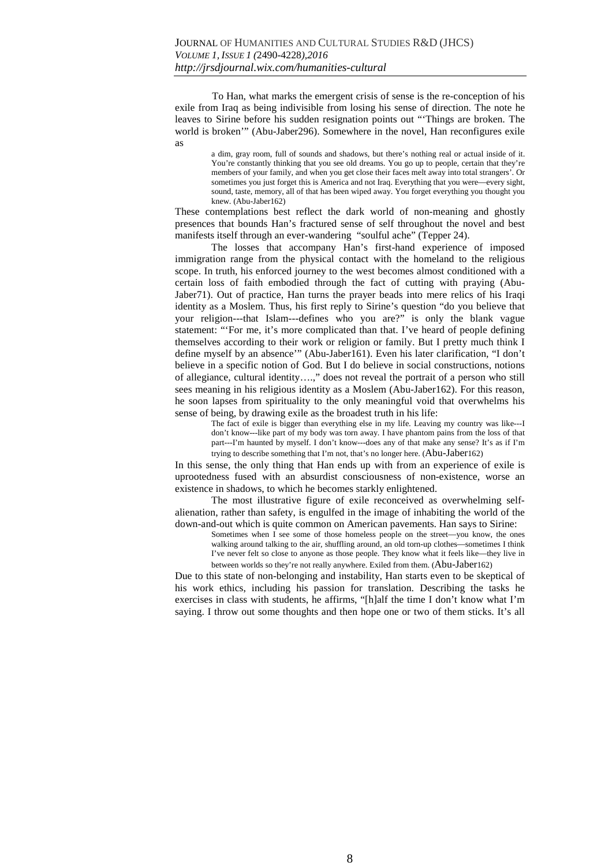To Han, what marks the emergent crisis of sense is the re-conception of his exile from Iraq as being indivisible from losing his sense of direction. The note he leaves to Sirine before his sudden resignation points out "'Things are broken. The world is broken'" (Abu-Jaber296). Somewhere in the novel, Han reconfigures exile as

> a dim, gray room, full of sounds and shadows, but there's nothing real or actual inside of it. You're constantly thinking that you see old dreams. You go up to people, certain that they're members of your family, and when you get close their faces melt away into total strangers'. Or sometimes you just forget this is America and not Iraq. Everything that you were—every sight, sound, taste, memory, all of that has been wiped away. You forget everything you thought you knew. (Abu-Jaber162)

These contemplations best reflect the dark world of non-meaning and ghostly presences that bounds Han's fractured sense of self throughout the novel and best manifests itself through an ever-wandering "soulful ache" (Tepper 24).

The losses that accompany Han's first-hand experience of imposed immigration range from the physical contact with the homeland to the religious scope. In truth, his enforced journey to the west becomes almost conditioned with a certain loss of faith embodied through the fact of cutting with praying (Abu-Jaber71). Out of practice, Han turns the prayer beads into mere relics of his Iraqi identity as a Moslem. Thus, his first reply to Sirine's question "do you believe that your religion---that Islam---defines who you are?" is only the blank vague statement: "'For me, it's more complicated than that. I've heard of people defining themselves according to their work or religion or family. But I pretty much think I define myself by an absence'" (Abu-Jaber161). Even his later clarification, "I don't believe in a specific notion of God. But I do believe in social constructions, notions of allegiance, cultural identity….," does not reveal the portrait of a person who still sees meaning in his religious identity as a Moslem (Abu-Jaber162). For this reason, he soon lapses from spirituality to the only meaningful void that overwhelms his sense of being, by drawing exile as the broadest truth in his life:

The fact of exile is bigger than everything else in my life. Leaving my country was like---I don't know---like part of my body was torn away. I have phantom pains from the loss of that part---I'm haunted by myself. I don't know---does any of that make any sense? It's as if I'm trying to describe something that I'm not, that's no longer here. (Abu-Jaber162)

In this sense, the only thing that Han ends up with from an experience of exile is uprootedness fused with an absurdist consciousness of non-existence, worse an existence in shadows, to which he becomes starkly enlightened.

The most illustrative figure of exile reconceived as overwhelming selfalienation, rather than safety, is engulfed in the image of inhabiting the world of the down-and-out which is quite common on American pavements. Han says to Sirine:

Sometimes when I see some of those homeless people on the street—you know, the ones walking around talking to the air, shuffling around, an old torn-up clothes—sometimes I think I've never felt so close to anyone as those people. They know what it feels like—they live in between worlds so they're not really anywhere. Exiled from them. (Abu-Jaber162)

Due to this state of non-belonging and instability, Han starts even to be skeptical of his work ethics, including his passion for translation. Describing the tasks he exercises in class with students, he affirms, "[h]alf the time I don't know what I'm saying. I throw out some thoughts and then hope one or two of them sticks. It's all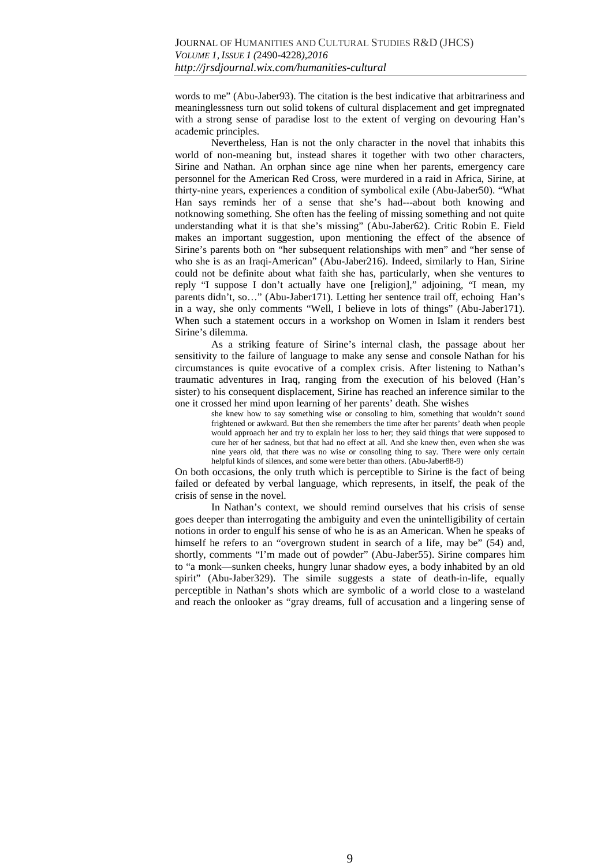words to me" (Abu-Jaber93). The citation is the best indicative that arbitrariness and meaninglessness turn out solid tokens of cultural displacement and get impregnated with a strong sense of paradise lost to the extent of verging on devouring Han's academic principles.

Nevertheless, Han is not the only character in the novel that inhabits this world of non-meaning but, instead shares it together with two other characters, Sirine and Nathan. An orphan since age nine when her parents, emergency care personnel for the American Red Cross, were murdered in a raid in Africa, Sirine, at thirty-nine years, experiences a condition of symbolical exile (Abu-Jaber50). "What Han says reminds her of a sense that she's had---about both knowing and notknowing something. She often has the feeling of missing something and not quite understanding what it is that she's missing" (Abu-Jaber62). Critic Robin E. Field makes an important suggestion, upon mentioning the effect of the absence of Sirine's parents both on "her subsequent relationships with men" and "her sense of who she is as an Iraqi-American" (Abu-Jaber216). Indeed, similarly to Han, Sirine could not be definite about what faith she has, particularly, when she ventures to reply "I suppose I don't actually have one [religion]," adjoining, "I mean, my parents didn't, so…" (Abu-Jaber171). Letting her sentence trail off, echoing Han's in a way, she only comments "Well, I believe in lots of things" (Abu-Jaber171). When such a statement occurs in a workshop on Women in Islam it renders best Sirine's dilemma.

As a striking feature of Sirine's internal clash, the passage about her sensitivity to the failure of language to make any sense and console Nathan for his circumstances is quite evocative of a complex crisis. After listening to Nathan's traumatic adventures in Iraq, ranging from the execution of his beloved (Han's sister) to his consequent displacement, Sirine has reached an inference similar to the one it crossed her mind upon learning of her parents' death. She wishes

she knew how to say something wise or consoling to him, something that wouldn't sound frightened or awkward. But then she remembers the time after her parents' death when people would approach her and try to explain her loss to her; they said things that were supposed to cure her of her sadness, but that had no effect at all. And she knew then, even when she was nine years old, that there was no wise or consoling thing to say. There were only certain helpful kinds of silences, and some were better than others. (Abu-Jaber88-9)

On both occasions, the only truth which is perceptible to Sirine is the fact of being failed or defeated by verbal language, which represents, in itself, the peak of the crisis of sense in the novel.

In Nathan's context, we should remind ourselves that his crisis of sense goes deeper than interrogating the ambiguity and even the unintelligibility of certain notions in order to engulf his sense of who he is as an American. When he speaks of himself he refers to an "overgrown student in search of a life, may be" (54) and, shortly, comments "I'm made out of powder" (Abu-Jaber55). Sirine compares him to "a monk—sunken cheeks, hungry lunar shadow eyes, a body inhabited by an old spirit" (Abu-Jaber329). The simile suggests a state of death-in-life, equally perceptible in Nathan's shots which are symbolic of a world close to a wasteland and reach the onlooker as "gray dreams, full of accusation and a lingering sense of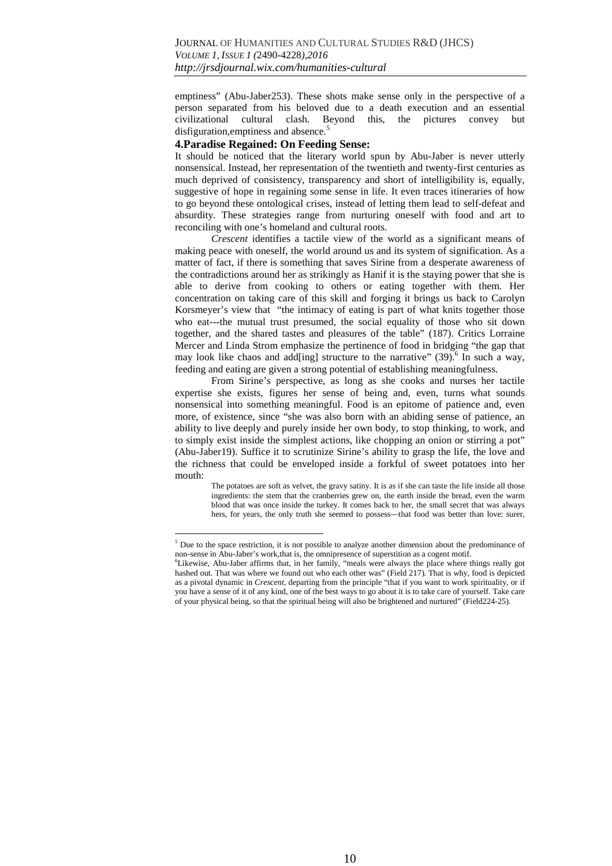emptiness" (Abu-Jaber253). These shots make sense only in the perspective of a person separated from his beloved due to a death execution and an essential civilizational cultural clash. Beyond this, the pictures convey but disfiguration, emptiness and absence.<sup>5</sup>

#### **4.Paradise Regained: On Feeding Sense:**

It should be noticed that the literary world spun by Abu-Jaber is never utterly nonsensical. Instead, her representation of the twentieth and twenty-first centuries as much deprived of consistency, transparency and short of intelligibility is, equally, suggestive of hope in regaining some sense in life. It even traces itineraries of how to go beyond these ontological crises, instead of letting them lead to self-defeat and absurdity. These strategies range from nurturing oneself with food and art to reconciling with one's homeland and cultural roots.

*Crescent* identifies a tactile view of the world as a significant means of making peace with oneself, the world around us and its system of signification. As a matter of fact, if there is something that saves Sirine from a desperate awareness of the contradictions around her as strikingly as Hanif it is the staying power that she is able to derive from cooking to others or eating together with them. Her concentration on taking care of this skill and forging it brings us back to Carolyn Korsmeyer's view that "the intimacy of eating is part of what knits together those who eat---the mutual trust presumed, the social equality of those who sit down together, and the shared tastes and pleasures of the table" (187). Critics Lorraine Mercer and Linda Strom emphasize the pertinence of food in bridging "the gap that may look like chaos and add[ing] structure to the narrative"  $(39)$ .<sup>6</sup> In such a way, feeding and eating are given a strong potential of establishing meaningfulness.

From Sirine's perspective, as long as she cooks and nurses her tactile expertise she exists, figures her sense of being and, even, turns what sounds nonsensical into something meaningful. Food is an epitome of patience and, even more, of existence, since "she was also born with an abiding sense of patience, an ability to live deeply and purely inside her own body, to stop thinking, to work, and to simply exist inside the simplest actions, like chopping an onion or stirring a pot" (Abu-Jaber19). Suffice it to scrutinize Sirine's ability to grasp the life, the love and the richness that could be enveloped inside a forkful of sweet potatoes into her mouth:

The potatoes are soft as velvet, the gravy satiny. It is as if she can taste the life inside all those ingredients: the stem that the cranberries grew on, the earth inside the bread, even the warm blood that was once inside the turkey. It comes back to her, the small secret that was always hers, for years, the only truth she seemed to possess—that food was better than love: surer,

<sup>&</sup>lt;sup>5</sup> Due to the space restriction, it is not possible to analyze another dimension about the predominance of non-sense in Abu-Jaber's work,that is, the omnipresence of superstition as a cogent motif.

<sup>6</sup>Likewise, Abu-Jaber affirms that, in her family, "meals were always the place where things really got hashed out. That was where we found out who each other was" (Field 217). That is why, food is depicted as a pivotal dynamic in *Crescent*, departing from the principle "that if you want to work spirituality, or if you have a sense of it of any kind, one of the best ways to go about it is to take care of yourself. Take care of your physical being, so that the spiritual being will also be brightened and nurtured" (Field224-25).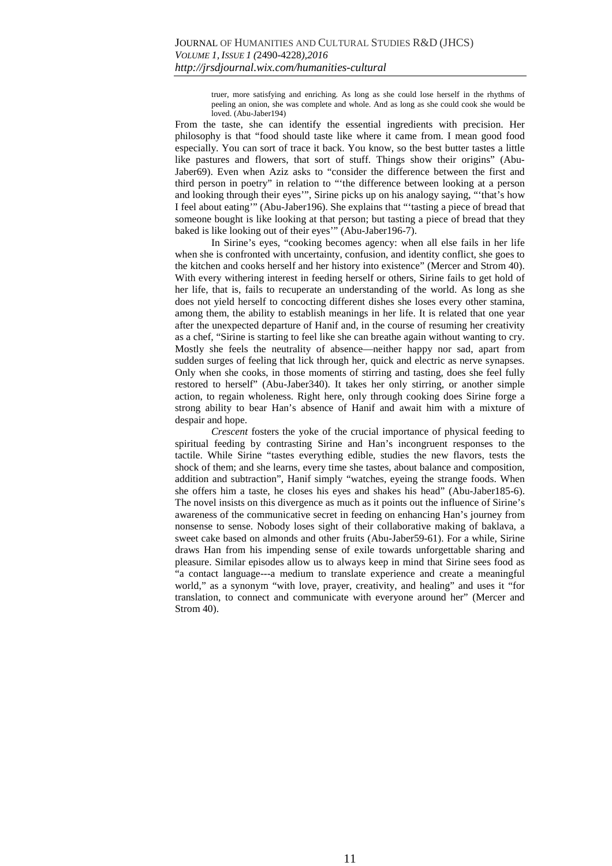truer, more satisfying and enriching. As long as she could lose herself in the rhythms of peeling an onion, she was complete and whole. And as long as she could cook she would be loved. (Abu-Jaber194)

From the taste, she can identify the essential ingredients with precision. Her philosophy is that "food should taste like where it came from. I mean good food especially. You can sort of trace it back. You know, so the best butter tastes a little like pastures and flowers, that sort of stuff. Things show their origins" (Abu-Jaber69). Even when Aziz asks to "consider the difference between the first and third person in poetry" in relation to "'the difference between looking at a person and looking through their eyes'", Sirine picks up on his analogy saying, "'that's how I feel about eating'" (Abu-Jaber196). She explains that "'tasting a piece of bread that someone bought is like looking at that person; but tasting a piece of bread that they baked is like looking out of their eyes'" (Abu-Jaber196-7).

In Sirine's eyes, "cooking becomes agency: when all else fails in her life when she is confronted with uncertainty, confusion, and identity conflict, she goes to the kitchen and cooks herself and her history into existence" (Mercer and Strom 40). With every withering interest in feeding herself or others, Sirine fails to get hold of her life, that is, fails to recuperate an understanding of the world. As long as she does not yield herself to concocting different dishes she loses every other stamina, among them, the ability to establish meanings in her life. It is related that one year after the unexpected departure of Hanif and, in the course of resuming her creativity as a chef, "Sirine is starting to feel like she can breathe again without wanting to cry. Mostly she feels the neutrality of absence—neither happy nor sad, apart from sudden surges of feeling that lick through her, quick and electric as nerve synapses. Only when she cooks, in those moments of stirring and tasting, does she feel fully restored to herself" (Abu-Jaber340). It takes her only stirring, or another simple action, to regain wholeness. Right here, only through cooking does Sirine forge a strong ability to bear Han's absence of Hanif and await him with a mixture of despair and hope.

*Crescent* fosters the yoke of the crucial importance of physical feeding to spiritual feeding by contrasting Sirine and Han's incongruent responses to the tactile. While Sirine "tastes everything edible, studies the new flavors, tests the shock of them; and she learns, every time she tastes, about balance and composition, addition and subtraction", Hanif simply "watches, eyeing the strange foods. When she offers him a taste, he closes his eyes and shakes his head" (Abu-Jaber185-6). The novel insists on this divergence as much as it points out the influence of Sirine's awareness of the communicative secret in feeding on enhancing Han's journey from nonsense to sense. Nobody loses sight of their collaborative making of baklava, a sweet cake based on almonds and other fruits (Abu-Jaber59-61). For a while, Sirine draws Han from his impending sense of exile towards unforgettable sharing and pleasure. Similar episodes allow us to always keep in mind that Sirine sees food as "a contact language---a medium to translate experience and create a meaningful world," as a synonym "with love, prayer, creativity, and healing" and uses it "for translation, to connect and communicate with everyone around her" (Mercer and Strom 40).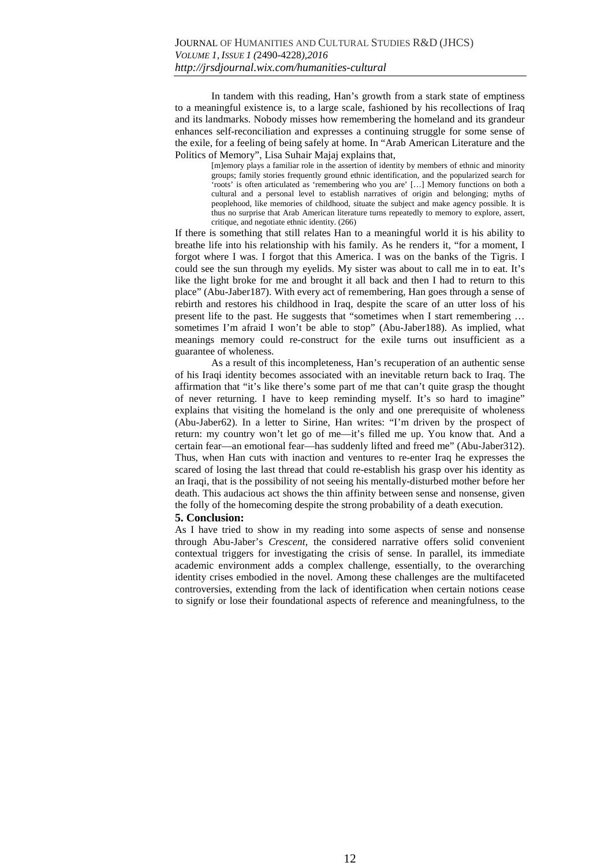In tandem with this reading, Han's growth from a stark state of emptiness to a meaningful existence is, to a large scale, fashioned by his recollections of Iraq and its landmarks. Nobody misses how remembering the homeland and its grandeur enhances self-reconciliation and expresses a continuing struggle for some sense of the exile, for a feeling of being safely at home. In "Arab American Literature and the Politics of Memory", Lisa Suhair Majaj explains that,

[m]emory plays a familiar role in the assertion of identity by members of ethnic and minority groups; family stories frequently ground ethnic identification, and the popularized search for 'roots' is often articulated as 'remembering who you are' […] Memory functions on both a cultural and a personal level to establish narratives of origin and belonging; myths of peoplehood, like memories of childhood, situate the subject and make agency possible. It is thus no surprise that Arab American literature turns repeatedly to memory to explore, assert, critique, and negotiate ethnic identity. (266)

If there is something that still relates Han to a meaningful world it is his ability to breathe life into his relationship with his family. As he renders it, "for a moment, I forgot where I was. I forgot that this America. I was on the banks of the Tigris. I could see the sun through my eyelids. My sister was about to call me in to eat. It's like the light broke for me and brought it all back and then I had to return to this place" (Abu-Jaber187). With every act of remembering, Han goes through a sense of rebirth and restores his childhood in Iraq, despite the scare of an utter loss of his present life to the past. He suggests that "sometimes when I start remembering … sometimes I'm afraid I won't be able to stop" (Abu-Jaber188). As implied, what meanings memory could re-construct for the exile turns out insufficient as a guarantee of wholeness.

As a result of this incompleteness, Han's recuperation of an authentic sense of his Iraqi identity becomes associated with an inevitable return back to Iraq. The affirmation that "it's like there's some part of me that can't quite grasp the thought of never returning. I have to keep reminding myself. It's so hard to imagine" explains that visiting the homeland is the only and one prerequisite of wholeness (Abu-Jaber62). In a letter to Sirine, Han writes: "I'm driven by the prospect of return: my country won't let go of me—it's filled me up. You know that. And a certain fear—an emotional fear—has suddenly lifted and freed me" (Abu-Jaber312). Thus, when Han cuts with inaction and ventures to re-enter Iraq he expresses the scared of losing the last thread that could re-establish his grasp over his identity as an Iraqi, that is the possibility of not seeing his mentally-disturbed mother before her death. This audacious act shows the thin affinity between sense and nonsense, given the folly of the homecoming despite the strong probability of a death execution.

## **5. Conclusion:**

As I have tried to show in my reading into some aspects of sense and nonsense through Abu-Jaber's *Crescent*, the considered narrative offers solid convenient contextual triggers for investigating the crisis of sense. In parallel, its immediate academic environment adds a complex challenge, essentially, to the overarching identity crises embodied in the novel. Among these challenges are the multifaceted controversies, extending from the lack of identification when certain notions cease to signify or lose their foundational aspects of reference and meaningfulness, to the